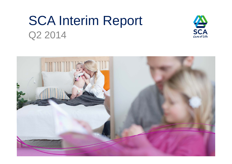# SCA Interim Report Q2 2014



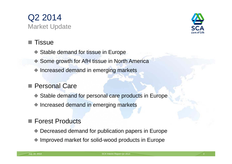



### Tissue

- Stable demand for tissue in Europe
- Some growth for AfH tissue in North America
- Increased demand in emerging markets

### Personal Care

- Stable demand for personal care products in Europe
- Increased demand in emerging markets

### Forest Products

- Decreased demand for publication papers in Europe
- ◆ Improved market for solid-wood products in Europe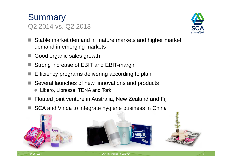



- Stable market demand in mature markets and higher market demand in emerging markets
- Good organic sales growth
- Strong increase of EBIT and EBIT-margin
- Efficiency programs delivering according to plan
- Several launches of new innovations and products
	- ◆ Libero, Libresse, TENA and Tork
- Floated joint venture in Australia, New Zealand and Fiji
- SCA and Vinda to integrate hygiene business in China

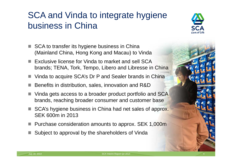## SCA and Vinda to integrate hygiene business in China



- SCA to transfer its hygiene business in China (Mainland China, Hong Kong and Macau) to Vinda
- Exclusive license for Vinda to market and sell SCA brands; TENA, Tork, Tempo, Libero and Libresse in China
- Vinda to acquire SCA's Dr P and Sealer brands in China
- Benefits in distribution, sales, innovation and R&D
- Vinda gets access to a broader product portfolio and SCA brands, reaching broader consumer and customer base
- SCA's hygiene business in China had net sales of approx. SEK 600m in 2013
- Purchase consideration amounts to approx. SEK 1,000m
- Subject to approval by the shareholders of Vinda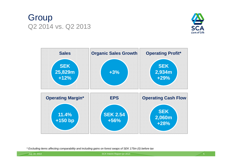## **Group** Q2 2014 vs. Q2 2013





*\* Excluding items affecting comparability and including gains on forest swaps of SEK 175m (0) before tax*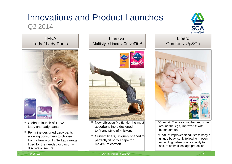### Innovations and Product Launches Q2 2014



**TFNA** Lady / Lady Pants



- Global relaunch of TENA Lady and Lady pants
- Feminine designed Lady pants allowing consumers to choose from a family of TENA Lady range fitted for the needed occasion –discrete & secure

LibresseMultistyle Liners / CurveFitTM



- $\blacksquare$  New Libresse Multistyle, the most absorbent liners designed to fit any style of knickers
- $\blacksquare$  Curvefit liners, uniquely shaped to perfectly fit body shape for maximum comfort

LiberoComfort / Up&Go



- Comfort: Elastics smoother and softer around the legs, improved fit with better comfort
- Up&Go: Improved fit adjusts to baby's unique body, softly following in every move. High absorption capacity to secure optimal leakage protection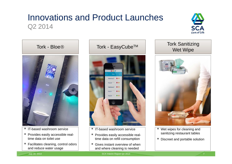## Innovations and Product Launches Q2 2014





- IT-based washroom service
- **Provides easily accessible real**time data on toilet use
- Facilitates cleaning, control odors and reduce water usage



- IT-based washroom service
- **Provides easily accessible real**time data on refill consumption
- $\overline{\phantom{a}}$  Gives instant overview of when and where cleaning is needed

# Tork - EasyCube™ Tork Sanitizing<br>
Wet Wipe



- Wet wipes for cleaning and sanitizing restaurant tables
- Discreet and portable solution

July 18, 2014 SCA Interim Report Q2 2014 7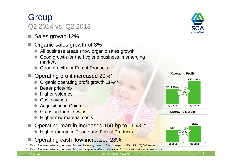## **Group**

## Q2 2014 vs. Q2 2013

- Sales growth 12%
- Organic sales growth of 3%
	- All business areas show organic sales growth
	- Good growth for the hygiene business in emerging markets
	- Good growth for Forest Products
- Operating profit increased 29%\*
	- ◆ Organic operating profit growth 11%\*\*
	- **◆ Better price/mix**
	- ◆ Higher volumes
	- **← Cost savings**
	- ◆ Acquisition in China
	- Gains on forest swaps
	- Higher raw material costs
- Operating margin increased 150 bp to 11.4%\*
	- Higher margin in Tissue and Forest Products
- Operating cash flow increased 28%
- *\* Excluding items affecting comparability and including gains on forest swaps of SEK 175m (0) before tax*









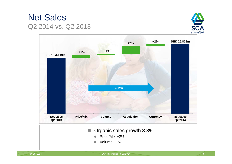





July 18, 2014 SCA Interim Report Q2 2014 9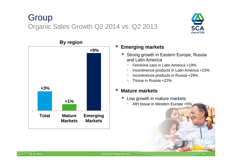## **Group** Organic Sales Growth Q2 2014 vs. Q2 2013





### **By region**

### **Emerging markets**

- ◆ Strong growth in Eastern Europe, Russia and Latin America
	- -Feminine care in Latin America +19%
	- -Incontinence products in Latin America +23%
	- Incontinence products in Russia +29%
	- -Tissue in Russia +22%

### a. **Mature markets**

- Low growth in mature markets
	- -AfH tissue in Western Europe +5%



a<br>M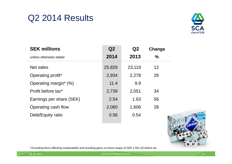## Q2 2014 Results



| <b>SEK millions</b>            | Q2     | Q2     | Change |
|--------------------------------|--------|--------|--------|
| unless otherwise stated        | 2014   | 2013   | $\%$   |
| Net sales                      | 25,829 | 23,119 | 12     |
| Operating profit*              | 2,934  | 2,278  | 29     |
| Operating margin* (%)          | 11.4   | 9.9    |        |
| Profit before tax <sup>*</sup> | 2,739  | 2,051  | 34     |
| Earnings per share (SEK)       | 2.54   | 1.63   | 56     |
| Operating cash flow            | 2,060  | 1,606  | 28     |
| Debt/Equity ratio              | 0.56   | 0.54   |        |



*\* Excluding items affecting comparability and including gains on forest swaps of SEK 175m (0) before tax*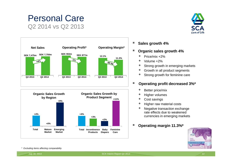### Personal Care Q2 2014 vs Q2 2013







- τ **Sales growth 4%**
- П **Organic sales growth 4%**
	- ٠ Price/mix +2%
	- ٠ Volume +2%
	- ٠ Strong growth in emerging markets
	- ٠ Growth in all product segments
	- ٠ Strong growth for feminine care

#### **I Operating profit decreased 3%\***

- $\ddot{\bullet}$ Better price/mix
- $\bullet$ Higher volumes
- $\ddot{\bullet}$ Cost savings
- $\bullet$ Higher raw material costs
- $\ddot{\bullet}$  Negative transaction exchange rate effects due to weakenedcurrencies in emerging markets
- Ŧ **Operating margin 11.3%\***



*\* Excluding items affecting comparability*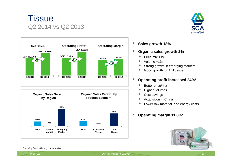







- E. **Sales growth 18%**
- П **Organic sales growth 2%**
	- ٠ Price/mix +1%
	- ٠ Volume +1%
	- ٠ Strong growth in emerging markets
	- ٠ Good growth for AfH tissue

#### Ŧ **Operating profit increased 24%\***

- ۰ Better price/mix
- ٠ Higher volumes
- ۰ Cost savings
- ٠ Acquisition in China
- ۰ Lower raw material and energy costs

### г **Operating margin 11.8%\***



*\* Excluding items affecting comparability*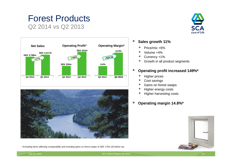# Forest Products

Q2 2014 vs Q2 2013







*\* Excluding items affecting comparability and including gains on forest swaps of SEK 175m (0) before tax*

#### $\mathbb{R}^n$ **Sales growth 11%**

- ٠ Price/mix +6%
- ٠ Volume +4%
- ٠ Currency +1%
- ۰ Growth in all product segments

#### Ŧ **Operating profit increased 149%\***

- ٠ Higher prices
- ۰ Cost savings
- ٠ Gains on forest swaps
- ٠ Higher energy costs
- ٠ Higher harvesting costs
- Ŧ **Operating margin 14.8%\***

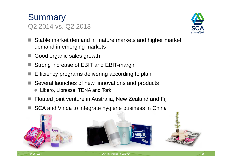



- Stable market demand in mature markets and higher market demand in emerging markets
- Good organic sales growth
- Strong increase of EBIT and EBIT-margin
- Efficiency programs delivering according to plan
- Several launches of new innovations and products
	- ◆ Libero, Libresse, TENA and Tork
- Floated joint venture in Australia, New Zealand and Fiji
- SCA and Vinda to integrate hygiene business in China

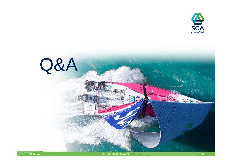